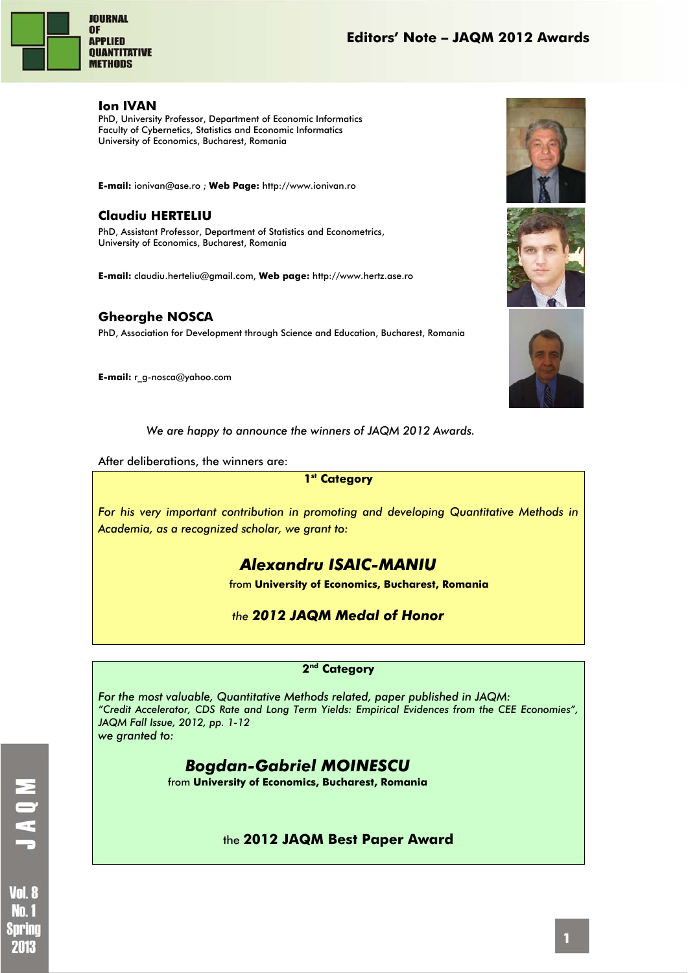

#### **Ion IVAN**

PhD, University Professor, Department of Economic Informatics Faculty of Cybernetics, Statistics and Economic Informatics University of Economics, Bucharest, Romania

**E-mail:** ionivan@ase.ro ; **Web Page:** http://www.ionivan.ro

### **Claudiu HERTELIU**

PhD, Assistant Professor, Department of Statistics and Econometrics, University of Economics, Bucharest, Romania

**E-mail:** claudiu.herteliu@gmail.com, **Web page:** http://www.hertz.ase.ro

### **Gheorghe NOSCA**

PhD, Association for Development through Science and Education, Bucharest, Romania

**E-mail:** r\_g-nosca@yahoo.com



After deliberations, the winners are:

### **1st Category**

*For his very important contribution in promoting and developing Quantitative Methods in Academia, as a recognized scholar, we grant to:* 







*Alexandru ISAIC-MANIU* 

from **University of Economics, Bucharest, Romania** 

*the 2012 JAQM Medal of Honor* 

#### **2nd Category**

*For the most valuable, Quantitative Methods related, paper published in JAQM: "Credit Accelerator, CDS Rate and Long Term Yields: Empirical Evidences from the CEE Economies", JAQM Fall Issue, 2012, pp. 1-12 we granted to:* 

## *Bogdan-Gabriel MOINESCU*

from **University of Economics, Bucharest, Romania** 

### the **2012 JAQM Best Paper Award**

**Vol. 8** Nm f Sorino 2018